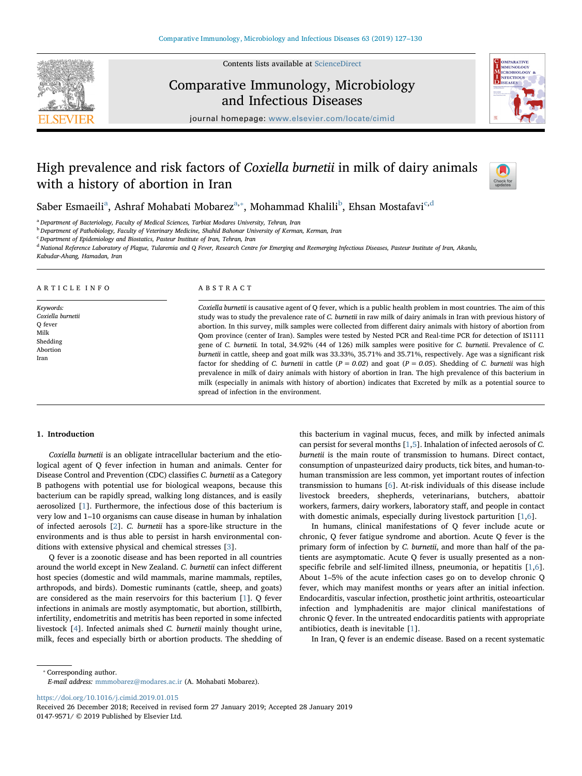

Contents lists available at [ScienceDirect](http://www.sciencedirect.com/science/journal/01479571)

# Comparative Immunology, Microbiology and Infectious Diseases



journal homepage: [www.elsevier.com/locate/cimid](https://www.elsevier.com/locate/cimid)

## High prevalence and risk factors of Coxiella burnetii in milk of dairy animals with a history of abortion in Iran



S[a](#page-0-0)[b](#page-0-2)er Esmaeili<sup>a</sup>, Ashraf Mohabati Mobarez<sup>a,</sup>\*, Mohammad Khalili<sup>b</sup>, Ehsan Mostafavi<sup>[c,](#page-0-3)[d](#page-0-4)</sup>

<span id="page-0-0"></span><sup>a</sup> Department of Bacteriology, Faculty of Medical Sciences, Tarbiat Modares University, Tehran, Iran

<span id="page-0-2"></span>**b Department of Pathobiology, Faculty of Veterinary Medicine, Shahid Bahonar University of Kerman, Kerman, Iran** 

<span id="page-0-3"></span><sup>c</sup> Department of Epidemiology and Biostatics, Pasteur Institute of Iran, Tehran, Iran

<span id="page-0-4"></span><sup>d</sup> National Reference Laboratory of Plague, Tularemia and Q Fever, Research Centre for Emerging and Reemerging Infectious Diseases, Pasteur Institute of Iran, Akanlu,

Kabudar-Ahang, Hamadan, Iran

#### ARTICLE INFO

Keywords: Coxiella burnetii Q fever Milk Shedding Abortion Iran

#### ABSTRACT

Coxiella burnetii is causative agent of Q fever, which is a public health problem in most countries. The aim of this study was to study the prevalence rate of C. burnetii in raw milk of dairy animals in Iran with previous history of abortion. In this survey, milk samples were collected from different dairy animals with history of abortion from Qom province (center of Iran). Samples were tested by Nested PCR and Real-time PCR for detection of IS1111 gene of C. burnetii. In total, 34.92% (44 of 126) milk samples were positive for C. burnetii. Prevalence of C. burnetii in cattle, sheep and goat milk was 33.33%, 35.71% and 35.71%, respectively. Age was a significant risk factor for shedding of C. burnetii in cattle ( $P = 0.02$ ) and goat ( $P = 0.05$ ). Shedding of C. burnetii was high prevalence in milk of dairy animals with history of abortion in Iran. The high prevalence of this bacterium in milk (especially in animals with history of abortion) indicates that Excreted by milk as a potential source to spread of infection in the environment.

#### 1. Introduction

Coxiella burnetii is an obligate intracellular bacterium and the etiological agent of Q fever infection in human and animals. Center for Disease Control and Prevention (CDC) classifies C. burnetii as a Category B pathogens with potential use for biological weapons, because this bacterium can be rapidly spread, walking long distances, and is easily aerosolized [[1](#page-3-0)]. Furthermore, the infectious dose of this bacterium is very low and 1–10 organisms can cause disease in human by inhalation of infected aerosols [[2](#page-3-1)]. C. burnetii has a spore-like structure in the environments and is thus able to persist in harsh environmental conditions with extensive physical and chemical stresses [\[3\]](#page-3-2).

Q fever is a zoonotic disease and has been reported in all countries around the world except in New Zealand. C. burnetii can infect different host species (domestic and wild mammals, marine mammals, reptiles, arthropods, and birds). Domestic ruminants (cattle, sheep, and goats) are considered as the main reservoirs for this bacterium [\[1\]](#page-3-0). Q fever infections in animals are mostly asymptomatic, but abortion, stillbirth, infertility, endometritis and metritis has been reported in some infected livestock [\[4\]](#page-3-3). Infected animals shed C. burnetii mainly thought urine, milk, feces and especially birth or abortion products. The shedding of

this bacterium in vaginal mucus, feces, and milk by infected animals can persist for several months [[1](#page-3-0)[,5\]](#page-3-4). Inhalation of infected aerosols of C. burnetii is the main route of transmission to humans. Direct contact, consumption of unpasteurized dairy products, tick bites, and human-tohuman transmission are less common, yet important routes of infection transmission to humans [\[6\]](#page-3-5). At-risk individuals of this disease include livestock breeders, shepherds, veterinarians, butchers, abattoir workers, farmers, dairy workers, laboratory staff, and people in contact with domestic animals, especially during livestock parturition [[1](#page-3-0),[6](#page-3-5)].

In humans, clinical manifestations of Q fever include acute or chronic, Q fever fatigue syndrome and abortion. Acute Q fever is the primary form of infection by C. burnetii, and more than half of the patients are asymptomatic. Acute Q fever is usually presented as a nonspecific febrile and self-limited illness, pneumonia, or hepatitis [[1](#page-3-0),[6](#page-3-5)]. About 1–5% of the acute infection cases go on to develop chronic Q fever, which may manifest months or years after an initial infection. Endocarditis, vascular infection, prosthetic joint arthritis, osteoarticular infection and lymphadenitis are major clinical manifestations of chronic Q fever. In the untreated endocarditis patients with appropriate antibiotics, death is inevitable [[1](#page-3-0)].

In Iran, Q fever is an endemic disease. Based on a recent systematic

<span id="page-0-1"></span>⁎ Corresponding author.

<https://doi.org/10.1016/j.cimid.2019.01.015>

E-mail address: [mmmobarez@modares.ac.ir](mailto:mmmobarez@modares.ac.ir) (A. Mohabati Mobarez).

Received 26 December 2018; Received in revised form 27 January 2019; Accepted 28 January 2019 0147-9571/ © 2019 Published by Elsevier Ltd.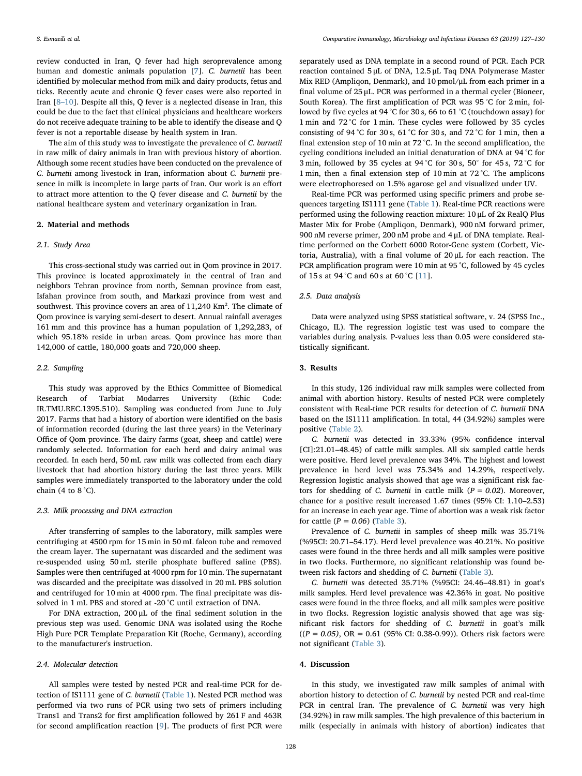review conducted in Iran, Q fever had high seroprevalence among human and domestic animals population [[7](#page-3-6)]. C. burnetii has been identified by molecular method from milk and dairy products, fetus and ticks. Recently acute and chronic Q fever cases were also reported in Iran [8–[10](#page-3-7)]. Despite all this, Q fever is a neglected disease in Iran, this could be due to the fact that clinical physicians and healthcare workers do not receive adequate training to be able to identify the disease and Q fever is not a reportable disease by health system in Iran.

The aim of this study was to investigate the prevalence of C. burnetii in raw milk of dairy animals in Iran with previous history of abortion. Although some recent studies have been conducted on the prevalence of C. burnetii among livestock in Iran, information about C. burnetii presence in milk is incomplete in large parts of Iran. Our work is an effort to attract more attention to the Q fever disease and C. burnetii by the national healthcare system and veterinary organization in Iran.

## 2. Material and methods

#### 2.1. Study Area

This cross-sectional study was carried out in Qom province in 2017. This province is located approximately in the central of Iran and neighbors Tehran province from north, Semnan province from east, Isfahan province from south, and Markazi province from west and southwest. This province covers an area of 11,240 Km². The climate of Qom province is varying semi-desert to desert. Annual rainfall averages 161 mm and this province has a human population of 1,292,283, of which 95.18% reside in urban areas. Qom province has more than 142,000 of cattle, 180,000 goats and 720,000 sheep.

## 2.2. Sampling

This study was approved by the Ethics Committee of Biomedical Research of Tarbiat Modarres University (Ethic Code: IR.TMU.REC.1395.510). Sampling was conducted from June to July 2017. Farms that had a history of abortion were identified on the basis of information recorded (during the last three years) in the Veterinary Office of Qom province. The dairy farms (goat, sheep and cattle) were randomly selected. Information for each herd and dairy animal was recorded. In each herd, 50 mL raw milk was collected from each diary livestock that had abortion history during the last three years. Milk samples were immediately transported to the laboratory under the cold chain (4 to  $8^{\circ}$ C).

### 2.3. Milk processing and DNA extraction

After transferring of samples to the laboratory, milk samples were centrifuging at 4500 rpm for 15 min in 50 mL falcon tube and removed the cream layer. The supernatant was discarded and the sediment was re-suspended using 50 mL sterile phosphate buffered saline (PBS). Samples were then centrifuged at 4000 rpm for 10 min. The supernatant was discarded and the precipitate was dissolved in 20 mL PBS solution and centrifuged for 10 min at 4000 rpm. The final precipitate was dissolved in 1 mL PBS and stored at -20 °C until extraction of DNA.

For DNA extraction, 200 μL of the final sediment solution in the previous step was used. Genomic DNA was isolated using the Roche High Pure PCR Template Preparation Kit (Roche, Germany), according to the manufacturer's instruction.

### 2.4. Molecular detection

All samples were tested by nested PCR and real-time PCR for detection of IS1111 gene of C. burnetii ([Table 1](#page-2-0)). Nested PCR method was performed via two runs of PCR using two sets of primers including Trans1 and Trans2 for first amplification followed by 261 F and 463R for second amplification reaction [\[9\]](#page-3-8). The products of first PCR were

separately used as DNA template in a second round of PCR. Each PCR reaction contained 5 μL of DNA, 12.5 μL Taq DNA Polymerase Master Mix RED (Ampliqon, Denmark), and 10 pmol/μL from each primer in a final volume of 25 μL. PCR was performed in a thermal cycler (Bioneer, South Korea). The first amplification of PCR was 95 °C for 2 min, followed by five cycles at 94 °C for 30 s, 66 to 61 °C (touchdown assay) for 1 min and 72 °C for 1 min. These cycles were followed by 35 cycles consisting of 94 °C for 30 s, 61 °C for 30 s, and 72 °C for 1 min, then a final extension step of 10 min at 72 °C. In the second amplification, the cycling conditions included an initial denaturation of DNA at 94 °C for 3 min, followed by 35 cycles at 94 °C for 30 s, 50° for 45 s, 72 °C for 1 min, then a final extension step of 10 min at 72 °C. The amplicons were electrophoresed on 1.5% agarose gel and visualized under UV.

Real-time PCR was performed using specific primers and probe sequences targeting IS1111 gene ([Table 1\)](#page-2-0). Real-time PCR reactions were performed using the following reaction mixture: 10 μL of 2x RealQ Plus Master Mix for Probe (Ampliqon, Denmark), 900 nM forward primer, 900 nM reverse primer, 200 nM probe and 4 μL of DNA template. Realtime performed on the Corbett 6000 Rotor-Gene system (Corbett, Victoria, Australia), with a final volume of 20 μL for each reaction. The PCR amplification program were 10 min at 95 °C, followed by 45 cycles of 15 s at 94 °C and 60 s at 60 °C [\[11](#page-3-9)].

#### 2.5. Data analysis

Data were analyzed using SPSS statistical software, v. 24 (SPSS Inc., Chicago, IL). The regression logistic test was used to compare the variables during analysis. P-values less than 0.05 were considered statistically significant.

## 3. Results

In this study, 126 individual raw milk samples were collected from animal with abortion history. Results of nested PCR were completely consistent with Real-time PCR results for detection of C. burnetii DNA based on the IS1111 amplification. In total, 44 (34.92%) samples were positive ([Table 2\)](#page-2-1).

C. burnetii was detected in 33.33% (95% confidence interval [CI]:21.01–48.45) of cattle milk samples. All six sampled cattle herds were positive. Herd level prevalence was 34%. The highest and lowest prevalence in herd level was 75.34% and 14.29%, respectively. Regression logistic analysis showed that age was a significant risk factors for shedding of C. burnetii in cattle milk ( $P = 0.02$ ). Moreover, chance for a positive result increased 1.67 times (95% CI: 1.10–2.53) for an increase in each year age. Time of abortion was a weak risk factor for cattle  $(P = 0.06)$  [\(Table 3\)](#page-2-2).

Prevalence of *C. burnetii* in samples of sheep milk was 35.71% (%95CI: 20.71–54.17). Herd level prevalence was 40.21%. No positive cases were found in the three herds and all milk samples were positive in two flocks. Furthermore, no significant relationship was found between risk factors and shedding of C. burnetii [\(Table 3\)](#page-2-2).

C. burnetii was detected 35.71% (%95CI: 24.46–48.81) in goat's milk samples. Herd level prevalence was 42.36% in goat. No positive cases were found in the three flocks, and all milk samples were positive in two flocks. Regression logistic analysis showed that age was significant risk factors for shedding of C. burnetii in goat's milk  $((P = 0.05), \text{ OR} = 0.61 \ (95\% \ \text{CI: } 0.38-0.99))$ . Others risk factors were not significant [\(Table 3\)](#page-2-2).

### 4. Discussion

In this study, we investigated raw milk samples of animal with abortion history to detection of C. burnetii by nested PCR and real-time PCR in central Iran. The prevalence of C. burnetii was very high (34.92%) in raw milk samples. The high prevalence of this bacterium in milk (especially in animals with history of abortion) indicates that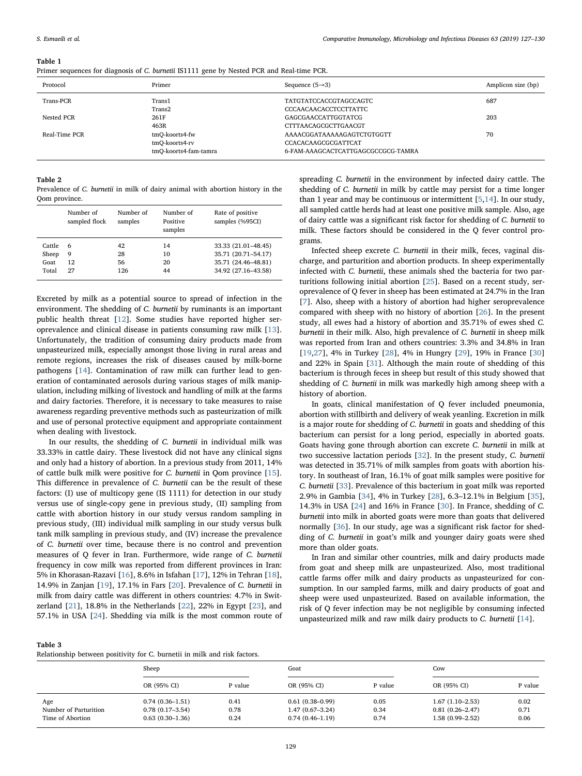#### <span id="page-2-0"></span>Table 1

| Primer sequences for diagnosis of C. burnetii IS1111 gene by Nested PCR and Real-time PCR. |  |  |  |  |  |  |  |  |  |
|--------------------------------------------------------------------------------------------|--|--|--|--|--|--|--|--|--|
|--------------------------------------------------------------------------------------------|--|--|--|--|--|--|--|--|--|

| Protocol      | Primer                | Sequence $(5\rightarrow 3)$        | Amplicon size (bp) |
|---------------|-----------------------|------------------------------------|--------------------|
| Trans-PCR     | Trans1                | TATGTATCCACCGTAGCCAGTC             | 687                |
|               | Trans2                | CCCAACAACACCTCCTTATTC              |                    |
| Nested PCR    | 261F                  | GAGCGAACCATTGGTATCG                | 203                |
|               | 463R                  | CTTTAACAGCGCTTGAACGT               |                    |
| Real-Time PCR | tmO-koorts4-fw        | AAAACGGATAAAAAGAGTCTGTGGTT         | 70                 |
|               | tmO-koorts4-rv        | CCACACAAGCGCGATTCAT                |                    |
|               | tmO-koorts4-fam-tamra | 6-FAM-AAAGCACTCATTGAGCGCCGCG-TAMRA |                    |

### <span id="page-2-1"></span>Table 2

Prevalence of C. burnetii in milk of dairy animal with abortion history in the Qom province.

|        | Number of<br>sampled flock | Number of<br>samples | Number of<br>Positive<br>samples | Rate of positive<br>samples (%95CI) |
|--------|----------------------------|----------------------|----------------------------------|-------------------------------------|
| Cattle | 6                          | 42                   | 14                               | 33.33 (21.01-48.45)                 |
| Sheep  | 9                          | 28                   | 10                               | 35.71 (20.71-54.17)                 |
| Goat   | 12                         | 56                   | 20                               | 35.71 (24.46-48.81)                 |
| Total  | 27                         | 126                  | 44                               | 34.92 (27.16-43.58)                 |

Excreted by milk as a potential source to spread of infection in the environment. The shedding of C. burnetii by ruminants is an important public health threat [\[12](#page-3-10)]. Some studies have reported higher seroprevalence and clinical disease in patients consuming raw milk [\[13](#page-3-11)]. Unfortunately, the tradition of consuming dairy products made from unpasteurized milk, especially amongst those living in rural areas and remote regions, increases the risk of diseases caused by milk-borne pathogens [\[14](#page-3-12)]. Contamination of raw milk can further lead to generation of contaminated aerosols during various stages of milk manipulation, including milking of livestock and handling of milk at the farms and dairy factories. Therefore, it is necessary to take measures to raise awareness regarding preventive methods such as pasteurization of milk and use of personal protective equipment and appropriate containment when dealing with livestock.

In our results, the shedding of C. burnetii in individual milk was 33.33% in cattle dairy. These livestock did not have any clinical signs and only had a history of abortion. In a previous study from 2011, 14% of cattle bulk milk were positive for C. burnetii in Qom province [\[15](#page-3-13)]. This difference in prevalence of C. burnetii can be the result of these factors: (I) use of multicopy gene (IS 1111) for detection in our study versus use of single-copy gene in previous study, (II) sampling from cattle with abortion history in our study versus random sampling in previous study, (III) individual milk sampling in our study versus bulk tank milk sampling in previous study, and (IV) increase the prevalence of C. burnetii over time, because there is no control and prevention measures of Q fever in Iran. Furthermore, wide range of C. burnetii frequency in cow milk was reported from different provinces in Iran: 5% in Khorasan-Razavi [\[16](#page-3-14)], 8.6% in Isfahan [[17\]](#page-3-15), 12% in Tehran [\[18](#page-3-16)], 14.9% in Zanjan [[19\]](#page-3-17), 17.1% in Fars [[20\]](#page-3-18). Prevalence of C. burnetii in milk from dairy cattle was different in others countries: 4.7% in Switzerland  $[21]$  $[21]$ , 18.8% in the Netherlands  $[22]$  $[22]$ , 22% in Egypt  $[23]$  $[23]$ , and 57.1% in USA [[24](#page-3-22)]. Shedding via milk is the most common route of spreading C. burnetii in the environment by infected dairy cattle. The shedding of C. burnetii in milk by cattle may persist for a time longer than 1 year and may be continuous or intermittent [\[5](#page-3-4)[,14](#page-3-12)]. In our study, all sampled cattle herds had at least one positive milk sample. Also, age of dairy cattle was a significant risk factor for shedding of C. burnetii to milk. These factors should be considered in the Q fever control programs.

Infected sheep excrete C. burnetii in their milk, feces, vaginal discharge, and parturition and abortion products. In sheep experimentally infected with C. burnetii, these animals shed the bacteria for two parturitions following initial abortion [[25\]](#page-3-23). Based on a recent study, seroprevalence of Q fever in sheep has been estimated at 24.7% in the Iran [[7](#page-3-6)]. Also, sheep with a history of abortion had higher seroprevalence compared with sheep with no history of abortion [\[26](#page-3-24)]. In the present study, all ewes had a history of abortion and 35.71% of ewes shed C. burnetii in their milk. Also, high prevalence of C. burnetii in sheep milk was reported from Iran and others countries: 3.3% and 34.8% in Iran [[19](#page-3-17)[,27](#page-3-25)], 4% in Turkey [\[28](#page-3-26)], 4% in Hungry [[29\]](#page-3-27), 19% in France [\[30](#page-3-28)] and 22% in Spain [\[31](#page-3-29)]. Although the main route of shedding of this bacterium is through feces in sheep but result of this study showed that shedding of C. burnetii in milk was markedly high among sheep with a history of abortion.

In goats, clinical manifestation of Q fever included pneumonia, abortion with stillbirth and delivery of weak yeanling. Excretion in milk is a major route for shedding of C. burnetii in goats and shedding of this bacterium can persist for a long period, especially in aborted goats. Goats having gone through abortion can excrete C. burnetii in milk at two successive lactation periods [[32\]](#page-3-30). In the present study, C. burnetii was detected in 35.71% of milk samples from goats with abortion history. In southeast of Iran, 16.1% of goat milk samples were positive for C. burnetii [\[33](#page-3-31)]. Prevalence of this bacterium in goat milk was reported 2.9% in Gambia [[34\]](#page-3-32), 4% in Turkey [\[28](#page-3-26)], 6.3–12.1% in Belgium [\[35](#page-3-33)], 14.3% in USA [[24\]](#page-3-22) and 16% in France [[30\]](#page-3-28). In France, shedding of C. burnetii into milk in aborted goats were more than goats that delivered normally [\[36](#page-3-34)]. In our study, age was a significant risk factor for shedding of C. burnetii in goat's milk and younger dairy goats were shed more than older goats.

In Iran and similar other countries, milk and dairy products made from goat and sheep milk are unpasteurized. Also, most traditional cattle farms offer milk and dairy products as unpasteurized for consumption. In our sampled farms, milk and dairy products of goat and sheep were used unpasteurized. Based on available information, the risk of Q fever infection may be not negligible by consuming infected unpasteurized milk and raw milk dairy products to C. burnetii [[14\]](#page-3-12).

<span id="page-2-2"></span>

| Table 3 |  |
|---------|--|
|---------|--|

Relationship between positivity for C. burnetii in milk and risk factors.

| .                     |                     |                   |              |  |  |  |  |
|-----------------------|---------------------|-------------------|--------------|--|--|--|--|
|                       | Cow                 | Goat              |              |  |  |  |  |
|                       | OR (95% CI)         | OR (95% CI)       | P value      |  |  |  |  |
| Age                   | $1.67(1.10-2.53)$   | $0.61(0.38-0.99)$ | 0.02         |  |  |  |  |
| Time of Abortion      | $1.58(0.99 - 2.52)$ | $0.74(0.46-1.19)$ | 0.71<br>0.06 |  |  |  |  |
| Number of Parturition | $0.81(0.26 - 2.47)$ | $1.47(0.67-3.24)$ |              |  |  |  |  |